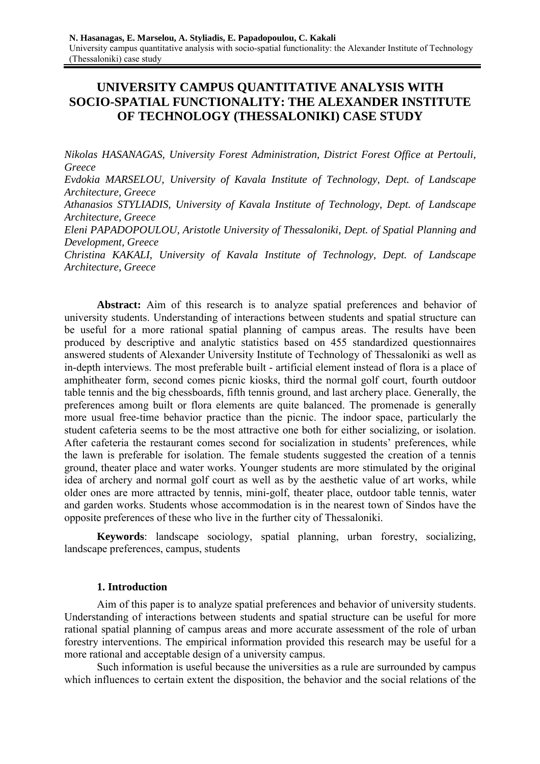# **UNIVERSITY CAMPUS QUANTITATIVE ANALYSIS WITH SOCIO-SPATIAL FUNCTIONALITY: THE ALEXANDER INSTITUTE OF TECHNOLOGY (THESSALONIKI) CASE STUDY**

*Nikolas HASANAGAS, University Forest Administration, District Forest Office at Pertouli, Greece Evdokia MARSELOU, University of Kavala Institute of Technology, Dept. of Landscape Architecture, Greece Athanasios STYLIADIS, University of Kavala Institute of Technology, Dept. of Landscape Architecture, Greece Eleni PAPADOPOULOU, Aristotle University of Thessaloniki, Dept. of Spatial Planning and Development, Greece Christina KAKALI, University of Kavala Institute of Technology, Dept. of Landscape Architecture, Greece* 

Abstract: Aim of this research is to analyze spatial preferences and behavior of university students. Understanding of interactions between students and spatial structure can be useful for a more rational spatial planning of campus areas. The results have been produced by descriptive and analytic statistics based on 455 standardized questionnaires answered students of Alexander University Institute of Technology of Thessaloniki as well as in-depth interviews. The most preferable built - artificial element instead of flora is a place of amphitheater form, second comes picnic kiosks, third the normal golf court, fourth outdoor table tennis and the big chessboards, fifth tennis ground, and last archery place. Generally, the preferences among built or flora elements are quite balanced. The promenade is generally more usual free-time behavior practice than the picnic. The indoor space, particularly the student cafeteria seems to be the most attractive one both for either socializing, or isolation. After cafeteria the restaurant comes second for socialization in students' preferences, while the lawn is preferable for isolation. The female students suggested the creation of a tennis ground, theater place and water works. Younger students are more stimulated by the original idea of archery and normal golf court as well as by the aesthetic value of art works, while older ones are more attracted by tennis, mini-golf, theater place, outdoor table tennis, water and garden works. Students whose accommodation is in the nearest town of Sindos have the opposite preferences of these who live in the further city of Thessaloniki.

**Keywords**: landscape sociology, spatial planning, urban forestry, socializing, landscape preferences, campus, students

### **1. Introduction**

Aim of this paper is to analyze spatial preferences and behavior of university students. Understanding of interactions between students and spatial structure can be useful for more rational spatial planning of campus areas and more accurate assessment of the role of urban forestry interventions. The empirical information provided this research may be useful for a more rational and acceptable design of a university campus.

Such information is useful because the universities as a rule are surrounded by campus which influences to certain extent the disposition, the behavior and the social relations of the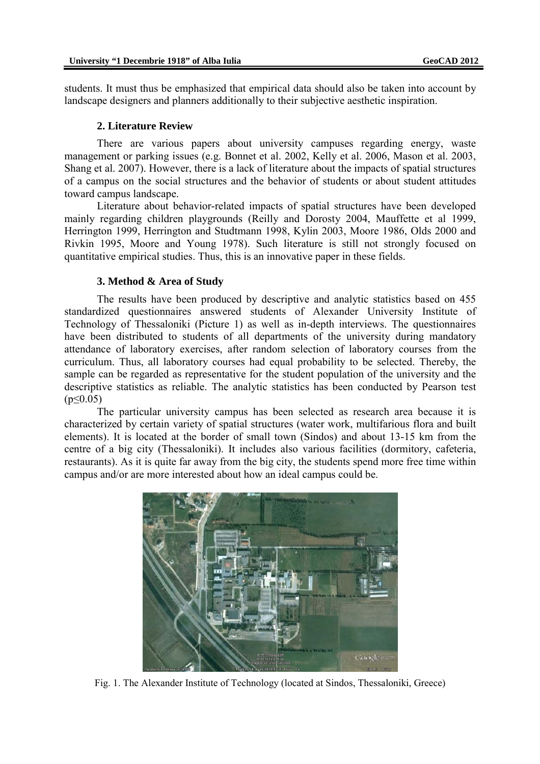students. It must thus be emphasized that empirical data should also be taken into account by landscape designers and planners additionally to their subjective aesthetic inspiration.

#### **2. Literature Review**

There are various papers about university campuses regarding energy, waste management or parking issues (e.g. Bonnet et al. 2002, Kelly et al. 2006, Mason et al. 2003, Shang et al. 2007). However, there is a lack of literature about the impacts of spatial structures of a campus on the social structures and the behavior of students or about student attitudes toward campus landscape.

Literature about behavior-related impacts of spatial structures have been developed mainly regarding children playgrounds (Reilly and Dorosty 2004, Mauffette et al 1999, Herrington 1999, Herrington and Studtmann 1998, Kylin 2003, Moore 1986, Olds 2000 and Rivkin 1995, Moore and Young 1978). Such literature is still not strongly focused on quantitative empirical studies. Thus, this is an innovative paper in these fields.

### **3. Method & Area of Study**

The results have been produced by descriptive and analytic statistics based on 455 standardized questionnaires answered students of Alexander University Institute of Technology of Thessaloniki (Picture 1) as well as in-depth interviews. The questionnaires have been distributed to students of all departments of the university during mandatory attendance of laboratory exercises, after random selection of laboratory courses from the curriculum. Thus, all laboratory courses had equal probability to be selected. Thereby, the sample can be regarded as representative for the student population of the university and the descriptive statistics as reliable. The analytic statistics has been conducted by Pearson test  $(p \le 0.05)$ 

The particular university campus has been selected as research area because it is characterized by certain variety of spatial structures (water work, multifarious flora and built elements). It is located at the border of small town (Sindos) and about 13-15 km from the centre of a big city (Thessaloniki). It includes also various facilities (dormitory, cafeteria, restaurants). As it is quite far away from the big city, the students spend more free time within campus and/or are more interested about how an ideal campus could be.



Fig. 1. The Alexander Institute of Technology (located at Sindos, Thessaloniki, Greece)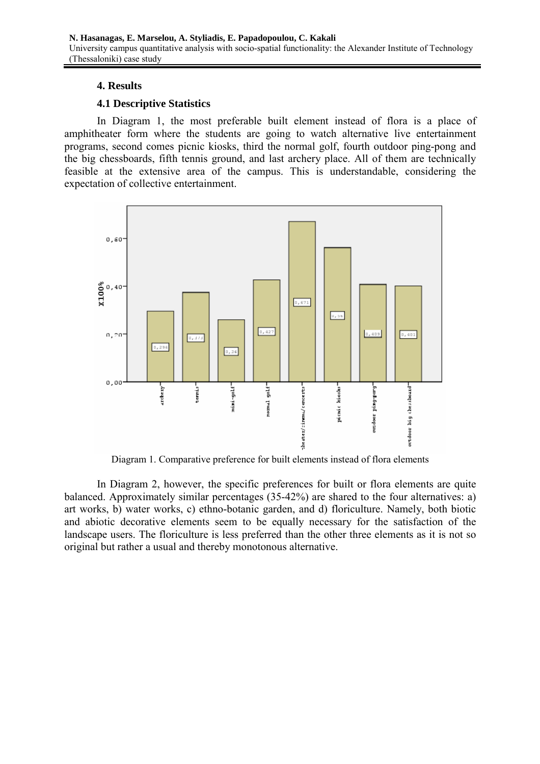## **4. Results**

## **4.1 Descriptive Statistics**

In Diagram 1, the most preferable built element instead of flora is a place of amphitheater form where the students are going to watch alternative live entertainment programs, second comes picnic kiosks, third the normal golf, fourth outdoor ping-pong and the big chessboards, fifth tennis ground, and last archery place. All of them are technically feasible at the extensive area of the campus. This is understandable, considering the expectation of collective entertainment.



Diagram 1. Comparative preference for built elements instead of flora elements

In Diagram 2, however, the specific preferences for built or flora elements are quite balanced. Approximately similar percentages (35-42%) are shared to the four alternatives: a) art works, b) water works, c) ethno-botanic garden, and d) floriculture. Namely, both biotic and abiotic decorative elements seem to be equally necessary for the satisfaction of the landscape users. The floriculture is less preferred than the other three elements as it is not so original but rather a usual and thereby monotonous alternative.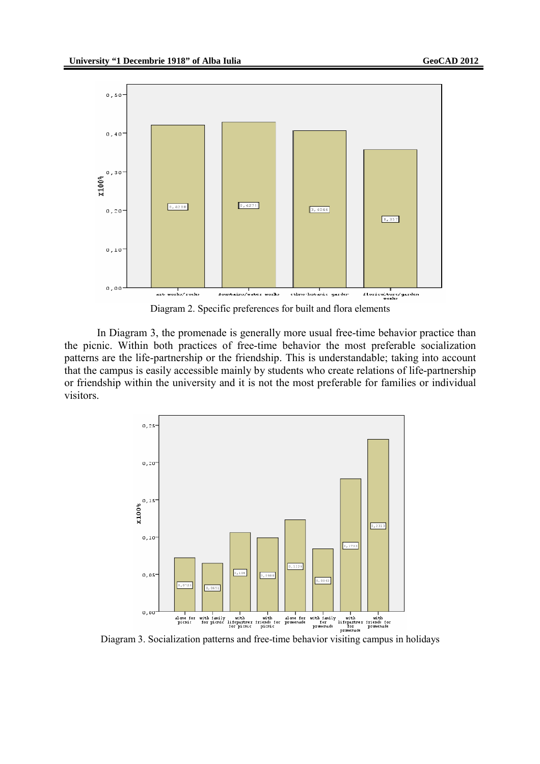

Diagram 2. Specific preferences for built and flora elements

In Diagram 3, the promenade is generally more usual free-time behavior practice than the picnic. Within both practices of free-time behavior the most preferable socialization patterns are the life-partnership or the friendship. This is understandable; taking into account that the campus is easily accessible mainly by students who create relations of life-partnership or friendship within the university and it is not the most preferable for families or individual visitors.

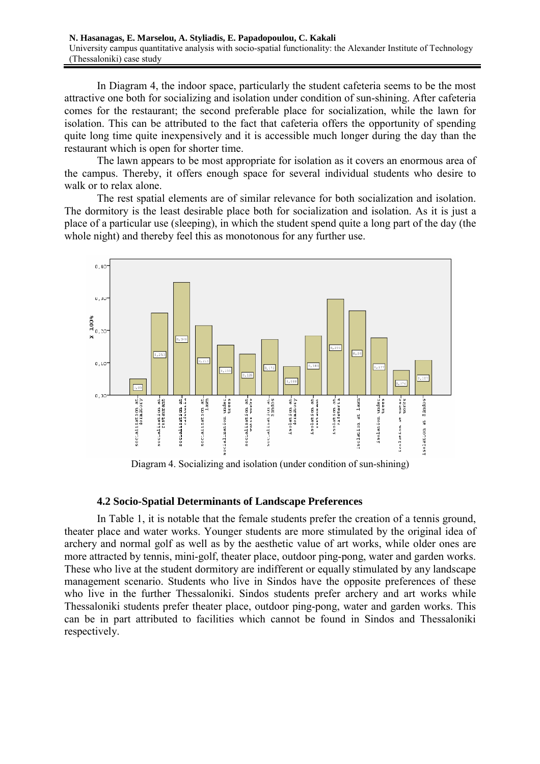In Diagram 4, the indoor space, particularly the student cafeteria seems to be the most attractive one both for socializing and isolation under condition of sun-shining. After cafeteria comes for the restaurant; the second preferable place for socialization, while the lawn for isolation. This can be attributed to the fact that cafeteria offers the opportunity of spending quite long time quite inexpensively and it is accessible much longer during the day than the restaurant which is open for shorter time.

The lawn appears to be most appropriate for isolation as it covers an enormous area of the campus. Thereby, it offers enough space for several individual students who desire to walk or to relax alone.

The rest spatial elements are of similar relevance for both socialization and isolation. The dormitory is the least desirable place both for socialization and isolation. As it is just a place of a particular use (sleeping), in which the student spend quite a long part of the day (the whole night) and thereby feel this as monotonous for any further use.



Diagram 4. Socializing and isolation (under condition of sun-shining)

### **4.2 Socio-Spatial Determinants of Landscape Preferences**

In Table 1, it is notable that the female students prefer the creation of a tennis ground, theater place and water works. Younger students are more stimulated by the original idea of archery and normal golf as well as by the aesthetic value of art works, while older ones are more attracted by tennis, mini-golf, theater place, outdoor ping-pong, water and garden works. These who live at the student dormitory are indifferent or equally stimulated by any landscape management scenario. Students who live in Sindos have the opposite preferences of these who live in the further Thessaloniki. Sindos students prefer archery and art works while Thessaloniki students prefer theater place, outdoor ping-pong, water and garden works. This can be in part attributed to facilities which cannot be found in Sindos and Thessaloniki respectively.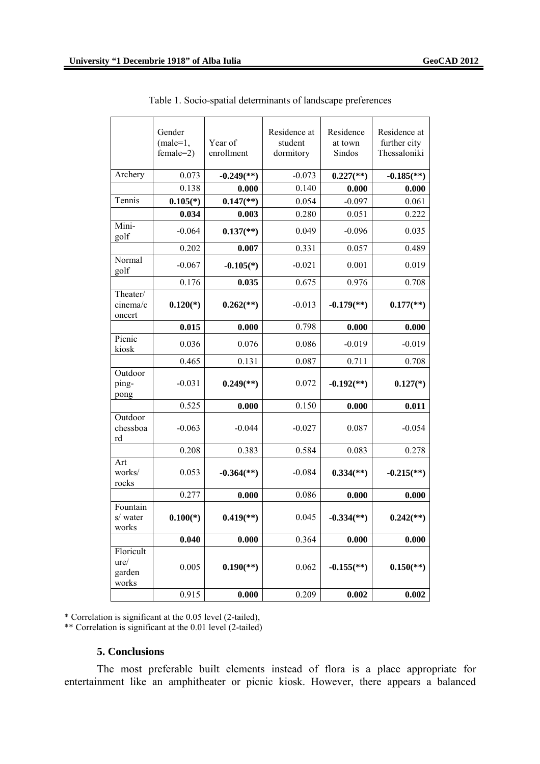|                                      | Gender<br>$(male=1,$<br>$female=2)$ | Year of<br>enrollment    | Residence at<br>student<br>dormitory | Residence<br>at town<br>Sindos | Residence at<br>further city<br>Thessaloniki |
|--------------------------------------|-------------------------------------|--------------------------|--------------------------------------|--------------------------------|----------------------------------------------|
| Archery                              | 0.073                               | $-0.249$ <sup>(**)</sup> | $-0.073$                             | $0.227$ <sup>(**)</sup>        | $-0.185$ <sup>**</sup> )                     |
|                                      | 0.138                               | 0.000                    | 0.140                                | 0.000                          | 0.000                                        |
| Tennis                               | $0.105(*)$                          | $0.147$ <sup>**</sup> )  | 0.054                                | $-0.097$                       | 0.061                                        |
|                                      | 0.034                               | 0.003                    | 0.280                                | 0.051                          | 0.222                                        |
| Mini-<br>golf                        | $-0.064$                            | $0.137$ <sup>**</sup> )  | 0.049                                | $-0.096$                       | 0.035                                        |
|                                      | 0.202                               | 0.007                    | 0.331                                | 0.057                          | 0.489                                        |
| Normal<br>golf                       | $-0.067$                            | $-0.105(*)$              | $-0.021$                             | 0.001                          | 0.019                                        |
|                                      | 0.176                               | 0.035                    | 0.675                                | 0.976                          | 0.708                                        |
| Theater/<br>cinema/c<br>oncert       | $0.120(*)$                          | $0.262$ <sup>(**)</sup>  | $-0.013$                             | $-0.179$ <sup>**</sup> )       | $0.177$ <sup>(**)</sup>                      |
|                                      | 0.015                               | 0.000                    | 0.798                                | 0.000                          | 0.000                                        |
| Picnic<br>kiosk                      | 0.036                               | 0.076                    | 0.086                                | $-0.019$                       | $-0.019$                                     |
|                                      | 0.465                               | 0.131                    | 0.087                                | 0.711                          | 0.708                                        |
| Outdoor<br>ping-<br>pong             | $-0.031$                            | $0.249$ <sup>(**)</sup>  | 0.072                                | $-0.192$ <sup>(**)</sup>       | $0.127(*)$                                   |
|                                      | 0.525                               | 0.000                    | 0.150                                | 0.000                          | 0.011                                        |
| Outdoor<br>chessboa<br>rd            | $-0.063$                            | $-0.044$                 | $-0.027$                             | 0.087                          | $-0.054$                                     |
|                                      | 0.208                               | 0.383                    | 0.584                                | 0.083                          | 0.278                                        |
| Art<br>works/<br>rocks               | 0.053                               | $-0.364$ <sup>(**)</sup> | $-0.084$                             | $0.334$ <sup>(**)</sup>        | $-0.215$ <sup>**</sup> )                     |
|                                      | 0.277                               | 0.000                    | 0.086                                | 0.000                          | 0.000                                        |
| Fountain<br>s/ water<br>works        | $0.100(*)$                          | $0.419$ <sup>**</sup> )  | 0.045                                | $-0.334$ <sup>(**)</sup> )     | $0.242$ <sup>**</sup> )                      |
|                                      | 0.040                               | 0.000                    | 0.364                                | 0.000                          | 0.000                                        |
| Floricult<br>ure/<br>garden<br>works | 0.005                               | $0.190$ <sup>(**)</sup>  | 0.062                                | $-0.155$ <sup>(**)</sup>       | $0.150$ <sup>(**)</sup>                      |
|                                      | 0.915                               | 0.000                    | 0.209                                | 0.002                          | 0.002                                        |

Table 1. Socio-spatial determinants of landscape preferences

\* Correlation is significant at the 0.05 level (2-tailed),

\*\* Correlation is significant at the 0.01 level (2-tailed)

### **5. Conclusions**

The most preferable built elements instead of flora is a place appropriate for entertainment like an amphitheater or picnic kiosk. However, there appears a balanced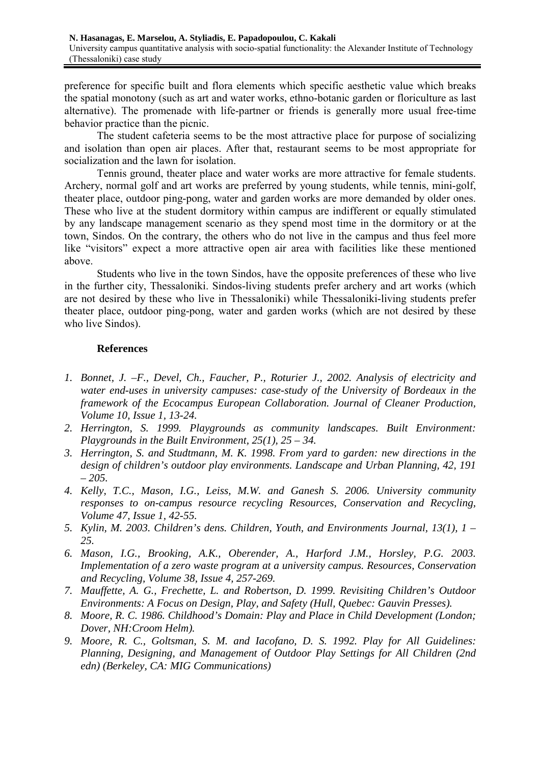preference for specific built and flora elements which specific aesthetic value which breaks the spatial monotony (such as art and water works, ethno-botanic garden or floriculture as last alternative). The promenade with life-partner or friends is generally more usual free-time behavior practice than the picnic.

The student cafeteria seems to be the most attractive place for purpose of socializing and isolation than open air places. After that, restaurant seems to be most appropriate for socialization and the lawn for isolation.

Tennis ground, theater place and water works are more attractive for female students. Archery, normal golf and art works are preferred by young students, while tennis, mini-golf, theater place, outdoor ping-pong, water and garden works are more demanded by older ones. These who live at the student dormitory within campus are indifferent or equally stimulated by any landscape management scenario as they spend most time in the dormitory or at the town, Sindos. On the contrary, the others who do not live in the campus and thus feel more like "visitors" expect a more attractive open air area with facilities like these mentioned above.

Students who live in the town Sindos, have the opposite preferences of these who live in the further city, Thessaloniki. Sindos-living students prefer archery and art works (which are not desired by these who live in Thessaloniki) while Thessaloniki-living students prefer theater place, outdoor ping-pong, water and garden works (which are not desired by these who live Sindos).

### **References**

- *1. Bonnet, J. –F., Devel, Ch., Faucher, P., Roturier J., 2002. Analysis of electricity and water end-uses in university campuses: case-study of the University of Bordeaux in the framework of the Ecocampus European Collaboration. Journal of Cleaner Production, Volume 10, Issue 1, 13-24.*
- *2. Herrington, S. 1999. Playgrounds as community landscapes. Built Environment: Playgrounds in the Built Environment, 25(1), 25 – 34.*
- *3. Herrington, S. and Studtmann, M. K. 1998. From yard to garden: new directions in the design of children's outdoor play environments. Landscape and Urban Planning, 42, 191 – 205.*
- *4. Kelly, T.C., Mason, I.G., Leiss, M.W. and Ganesh S. 2006. University community responses to on-campus resource recycling Resources, Conservation and Recycling, Volume 47, Issue 1, 42-55.*
- *5. Kylin, M. 2003. Children's dens. Children, Youth, and Environments Journal, 13(1), 1 25.*
- *6. Mason, I.G., Brooking, A.K., Oberender, A., Harford J.M., Horsley, P.G. 2003. Implementation of a zero waste program at a university campus. Resources, Conservation and Recycling, Volume 38, Issue 4, 257-269.*
- *7. Mauffette, A. G., Frechette, L. and Robertson, D. 1999. Revisiting Children's Outdoor Environments: A Focus on Design, Play, and Safety (Hull, Quebec: Gauvin Presses).*
- *8. Moore, R. C. 1986. Childhood's Domain: Play and Place in Child Development (London; Dover, NH:Croom Helm).*
- *9. Moore, R. C., Goltsman, S. M. and Iacofano, D. S. 1992. Play for All Guidelines: Planning, Designing, and Management of Outdoor Play Settings for All Children (2nd edn) (Berkeley, CA: MIG Communications)*